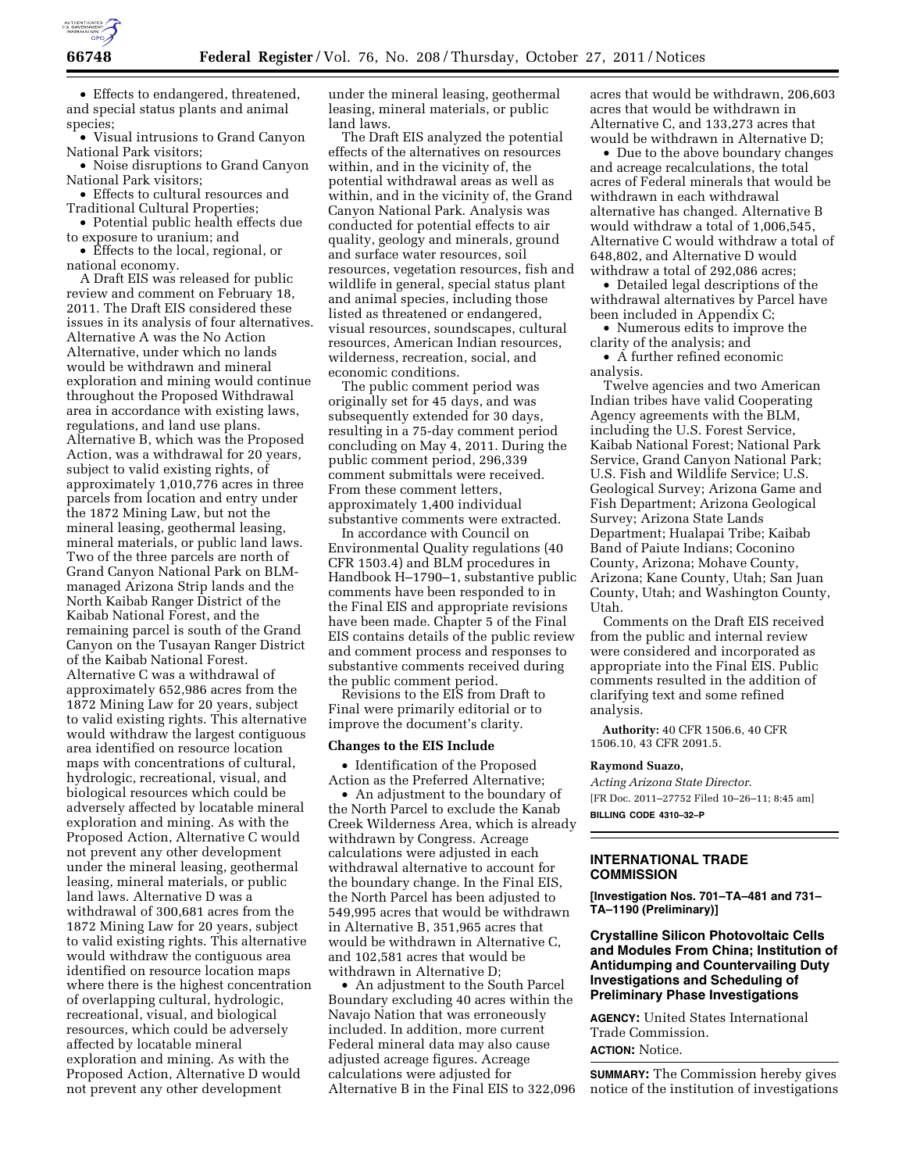

• Effects to endangered, threatened, and special status plants and animal species;

• Visual intrusions to Grand Canyon National Park visitors;

• Noise disruptions to Grand Canyon National Park visitors;

• Effects to cultural resources and Traditional Cultural Properties;

• Potential public health effects due to exposure to uranium; and

• Effects to the local, regional, or national economy.

A Draft EIS was released for public review and comment on February 18, 2011. The Draft EIS considered these issues in its analysis of four alternatives. Alternative A was the No Action Alternative, under which no lands would be withdrawn and mineral exploration and mining would continue throughout the Proposed Withdrawal area in accordance with existing laws, regulations, and land use plans. Alternative B, which was the Proposed Action, was a withdrawal for 20 years, subject to valid existing rights, of approximately 1,010,776 acres in three parcels from location and entry under the 1872 Mining Law, but not the mineral leasing, geothermal leasing, mineral materials, or public land laws. Two of the three parcels are north of Grand Canyon National Park on BLMmanaged Arizona Strip lands and the North Kaibab Ranger District of the Kaibab National Forest, and the remaining parcel is south of the Grand Canyon on the Tusayan Ranger District of the Kaibab National Forest. Alternative C was a withdrawal of approximately 652,986 acres from the 1872 Mining Law for 20 years, subject to valid existing rights. This alternative would withdraw the largest contiguous area identified on resource location maps with concentrations of cultural, hydrologic, recreational, visual, and biological resources which could be adversely affected by locatable mineral exploration and mining. As with the Proposed Action, Alternative C would not prevent any other development under the mineral leasing, geothermal leasing, mineral materials, or public land laws. Alternative D was a withdrawal of 300,681 acres from the 1872 Mining Law for 20 years, subject to valid existing rights. This alternative would withdraw the contiguous area identified on resource location maps where there is the highest concentration of overlapping cultural, hydrologic, recreational, visual, and biological resources, which could be adversely affected by locatable mineral exploration and mining. As with the Proposed Action, Alternative D would not prevent any other development

under the mineral leasing, geothermal leasing, mineral materials, or public land laws.

The Draft EIS analyzed the potential effects of the alternatives on resources within, and in the vicinity of, the potential withdrawal areas as well as within, and in the vicinity of, the Grand Canyon National Park. Analysis was conducted for potential effects to air quality, geology and minerals, ground and surface water resources, soil resources, vegetation resources, fish and wildlife in general, special status plant and animal species, including those listed as threatened or endangered, visual resources, soundscapes, cultural resources, American Indian resources, wilderness, recreation, social, and economic conditions.

The public comment period was originally set for 45 days, and was subsequently extended for 30 days, resulting in a 75-day comment period concluding on May 4, 2011. During the public comment period, 296,339 comment submittals were received. From these comment letters, approximately 1,400 individual substantive comments were extracted.

In accordance with Council on Environmental Quality regulations (40 CFR 1503.4) and BLM procedures in Handbook H–1790–1, substantive public comments have been responded to in the Final EIS and appropriate revisions have been made. Chapter 5 of the Final EIS contains details of the public review and comment process and responses to substantive comments received during the public comment period.

Revisions to the EIS from Draft to Final were primarily editorial or to improve the document's clarity.

#### **Changes to the EIS Include**

• Identification of the Proposed Action as the Preferred Alternative;

• An adjustment to the boundary of the North Parcel to exclude the Kanab Creek Wilderness Area, which is already withdrawn by Congress. Acreage calculations were adjusted in each withdrawal alternative to account for the boundary change. In the Final EIS, the North Parcel has been adjusted to 549,995 acres that would be withdrawn in Alternative B, 351,965 acres that would be withdrawn in Alternative C, and 102,581 acres that would be withdrawn in Alternative D;

• An adjustment to the South Parcel Boundary excluding 40 acres within the Navajo Nation that was erroneously included. In addition, more current Federal mineral data may also cause adjusted acreage figures. Acreage calculations were adjusted for Alternative B in the Final EIS to 322,096 acres that would be withdrawn, 206,603 acres that would be withdrawn in Alternative C, and 133,273 acres that would be withdrawn in Alternative D;

• Due to the above boundary changes and acreage recalculations, the total acres of Federal minerals that would be withdrawn in each withdrawal alternative has changed. Alternative B would withdraw a total of 1,006,545, Alternative C would withdraw a total of 648,802, and Alternative D would withdraw a total of 292,086 acres;

• Detailed legal descriptions of the withdrawal alternatives by Parcel have been included in Appendix C;

• Numerous edits to improve the clarity of the analysis; and

• A further refined economic analysis.

Twelve agencies and two American Indian tribes have valid Cooperating Agency agreements with the BLM, including the U.S. Forest Service, Kaibab National Forest; National Park Service, Grand Canyon National Park; U.S. Fish and Wildlife Service; U.S. Geological Survey; Arizona Game and Fish Department; Arizona Geological Survey; Arizona State Lands Department; Hualapai Tribe; Kaibab Band of Paiute Indians; Coconino County, Arizona; Mohave County, Arizona; Kane County, Utah; San Juan County, Utah; and Washington County, Utah.

Comments on the Draft EIS received from the public and internal review were considered and incorporated as appropriate into the Final EIS. Public comments resulted in the addition of clarifying text and some refined analysis.

**Authority:** 40 CFR 1506.6, 40 CFR 1506.10, 43 CFR 2091.5.

### **Raymond Suazo,**

*Acting Arizona State Director.*  [FR Doc. 2011–27752 Filed 10–26–11; 8:45 am] **BILLING CODE 4310–32–P** 

### **INTERNATIONAL TRADE COMMISSION**

**[Investigation Nos. 701–TA–481 and 731– TA–1190 (Preliminary)]** 

# **Crystalline Silicon Photovoltaic Cells and Modules From China; Institution of Antidumping and Countervailing Duty Investigations and Scheduling of Preliminary Phase Investigations**

**AGENCY:** United States International Trade Commission. **ACTION:** Notice.

**SUMMARY:** The Commission hereby gives notice of the institution of investigations